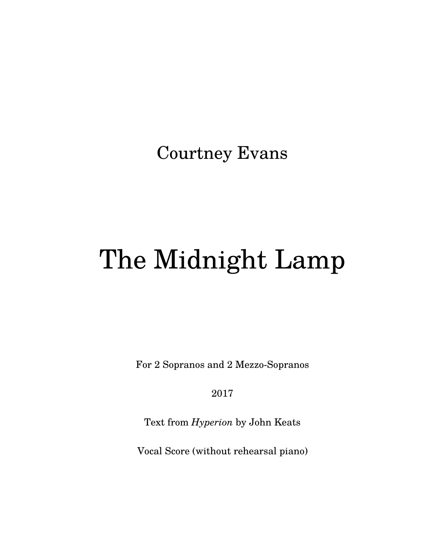Courtney Evans

## The Midnight Lamp

For 2 Sopranos and 2 Mezzo-Sopranos

2017

Text from *Hyperion* by John Keats

Vocal Score (without rehearsal piano)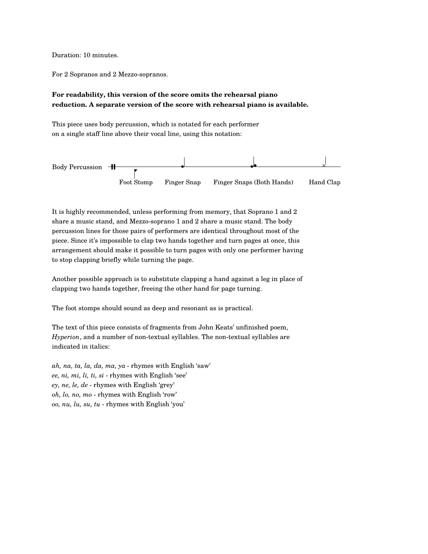Duration: 10 minutes.

For 2 Sopranos and 2 Mezzo-sopranos.

## **For readability, this version of the score omits the rehearsal piano reduction. A separate version of the score with rehearsal piano is available.**

This piece uses body percussion, which is notated for each performer on a single staff line above their vocal line, using this notation:



It is highly recommended, unless performing from memory, that Soprano 1 and 2 share a music stand, and Mezzo-soprano 1 and 2 share a music stand. The body percussion lines for those pairs of performers are identical throughout most of the piece. Since it's impossible to clap two hands together and turn pages at once, this arrangement should make it possible to turn pages with only one performer having to stop clapping briefly while turning the page.

Another possible approach is to substitute clapping a hand against a leg in place of clapping two hands together, freeing the other hand for page turning.

The foot stomps should sound as deep and resonant as is practical.

The text of this piece consists of fragments from John Keats' unfinished poem, *Hyperion*, and a number of non-textual syllables. The non-textual syllables are indicated in italics:

*ah, na, ta, la, da, ma, ya* - rhymes with English 'saw' *ee, ni, mi, li, ti, si* - rhymes with English 'see' *ey, ne, le, de* - rhymes with English 'grey' *oh, lo, no, mo* - rhymes with English 'row' *oo, nu, lu, su, tu* - rhymes with English 'you'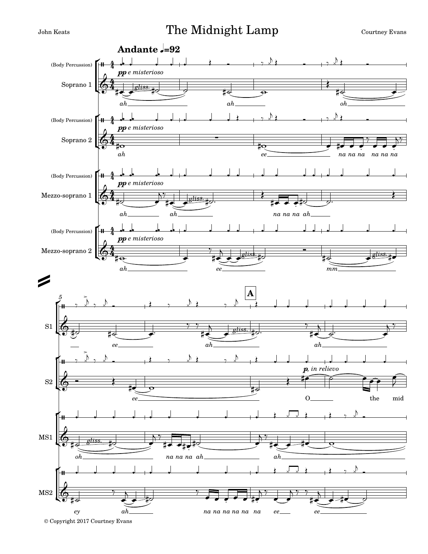John Keats The Midnight Lamp Courtney Evans

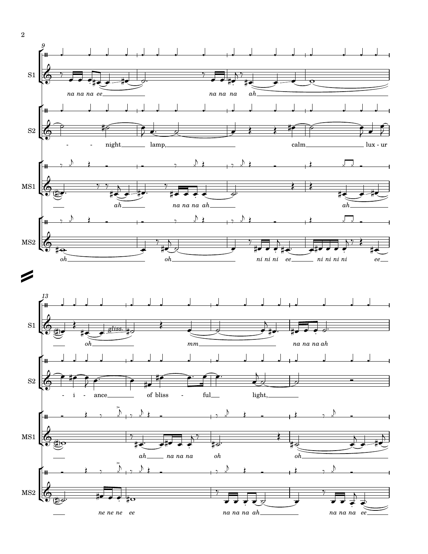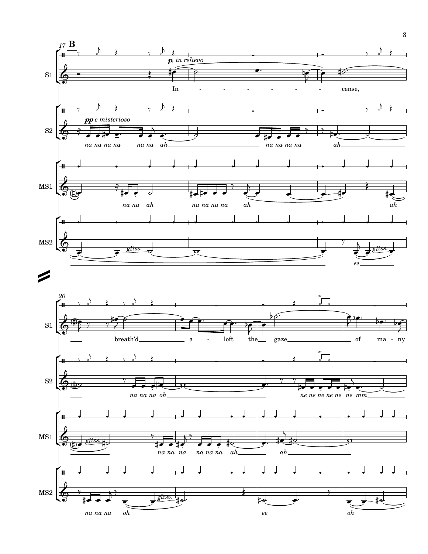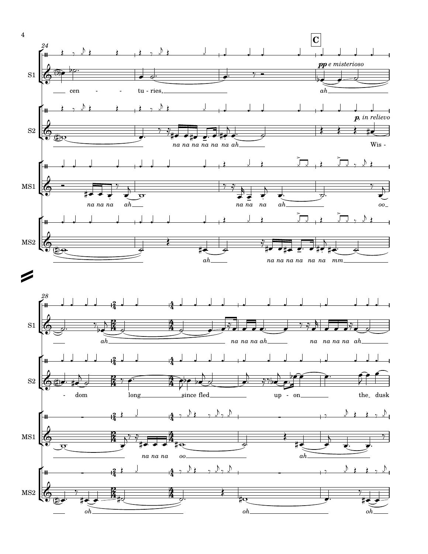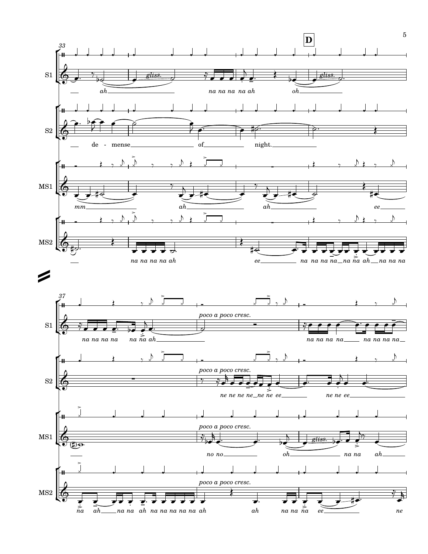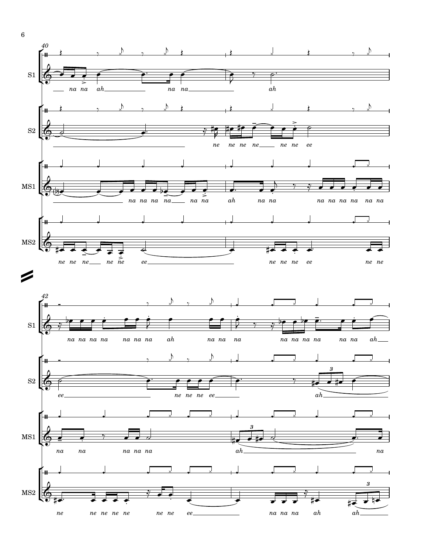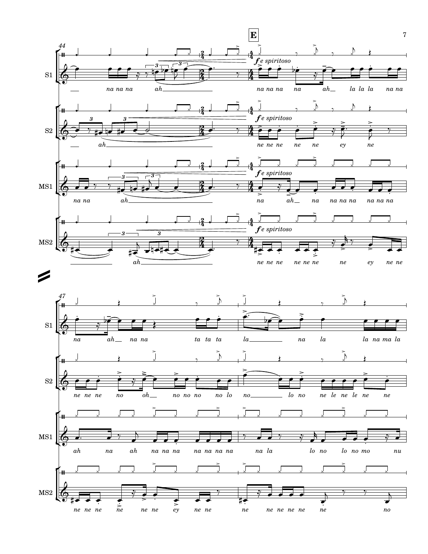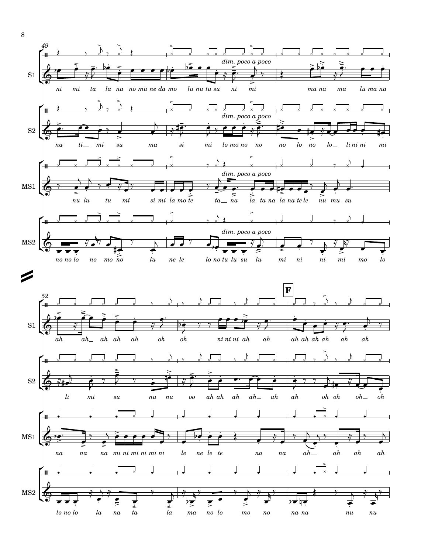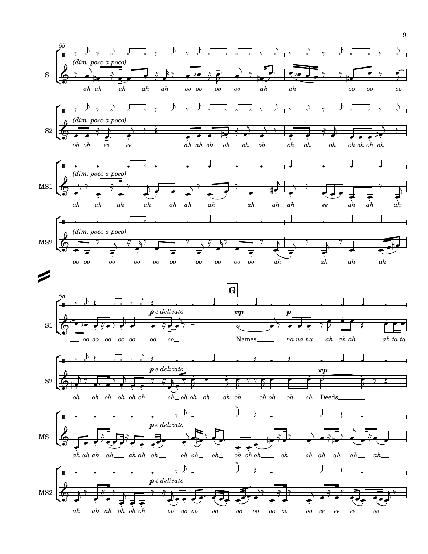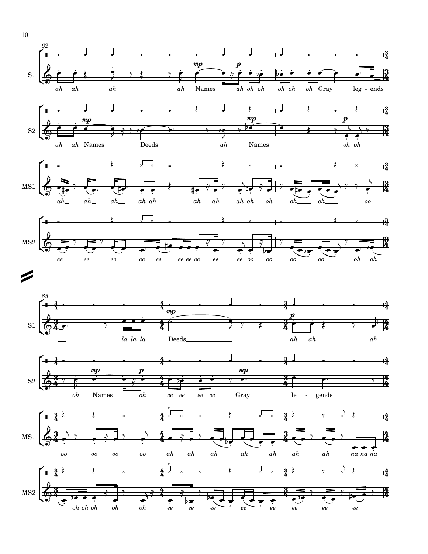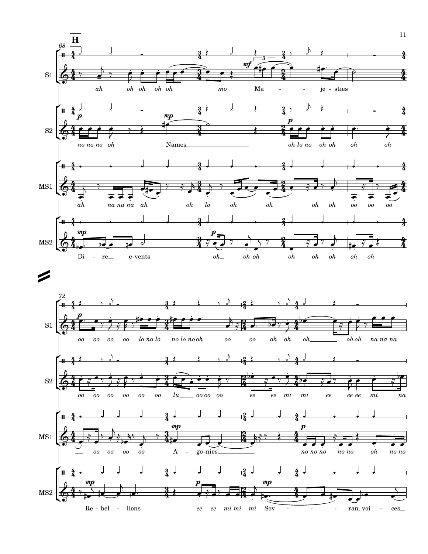

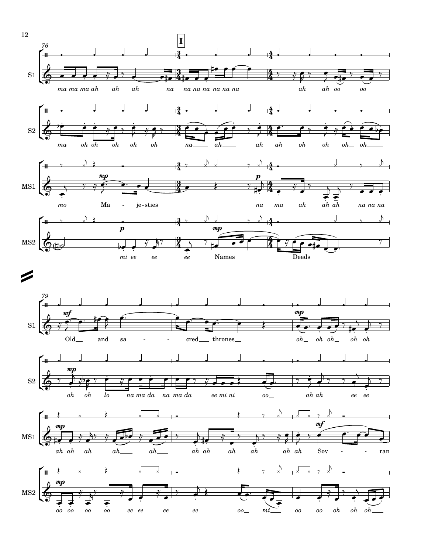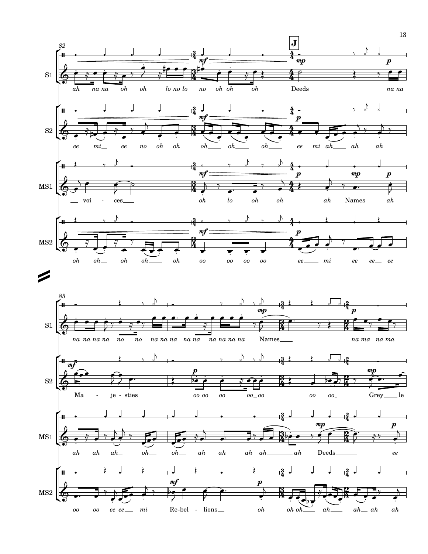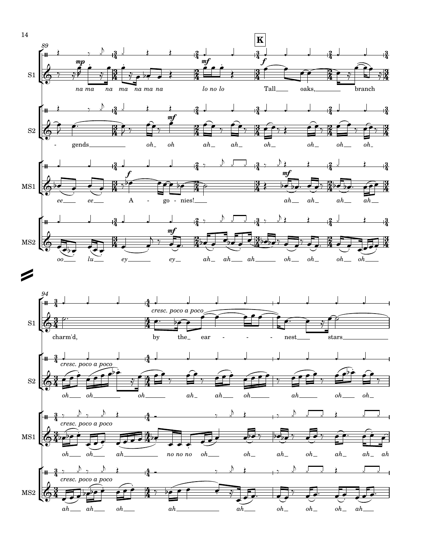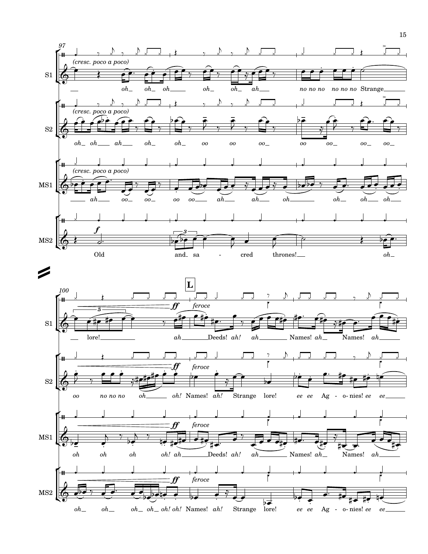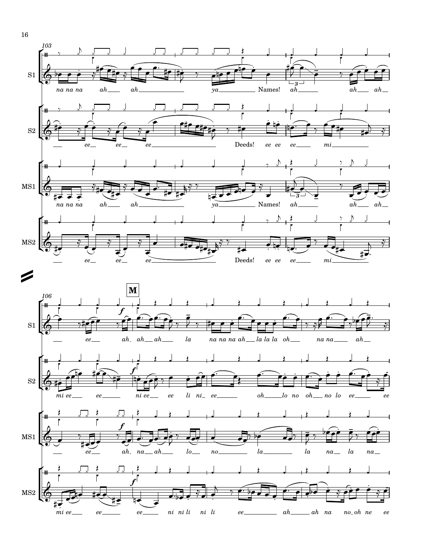

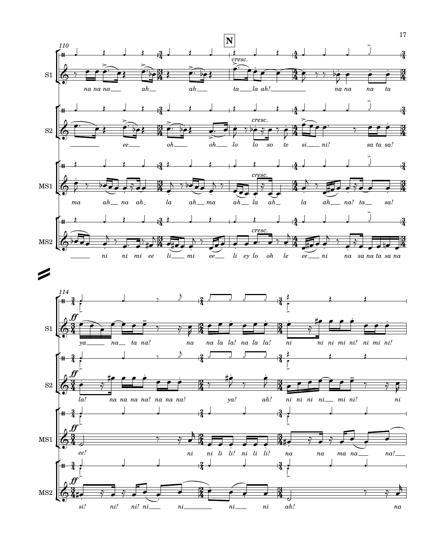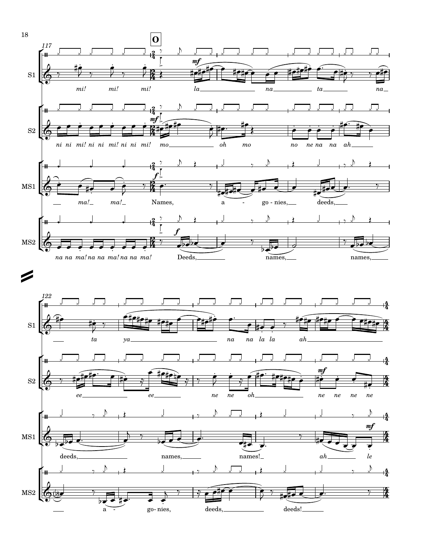![](_page_19_Figure_0.jpeg)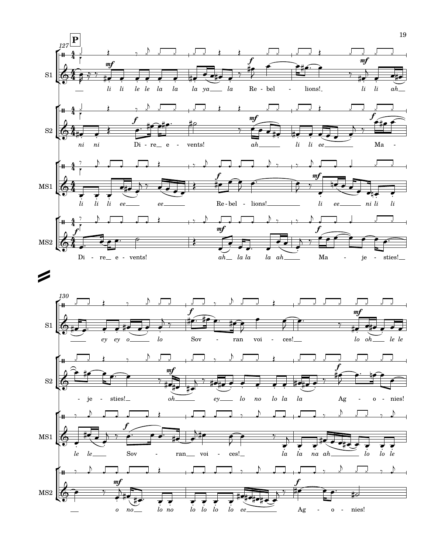![](_page_20_Figure_0.jpeg)

![](_page_20_Figure_1.jpeg)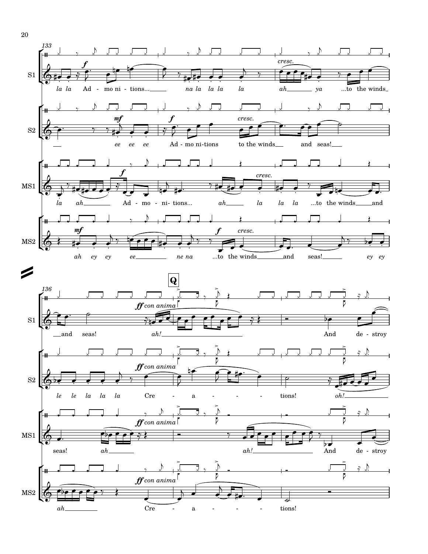![](_page_21_Figure_0.jpeg)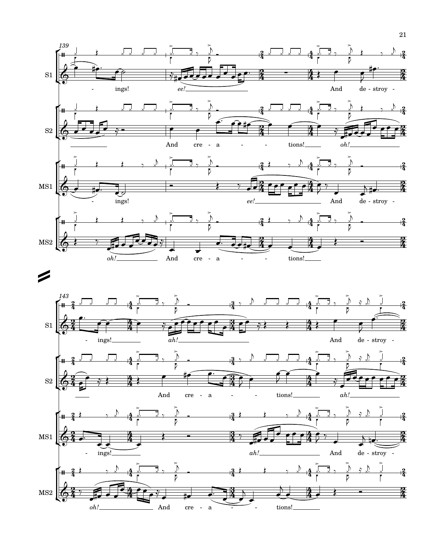![](_page_22_Figure_0.jpeg)

![](_page_22_Figure_1.jpeg)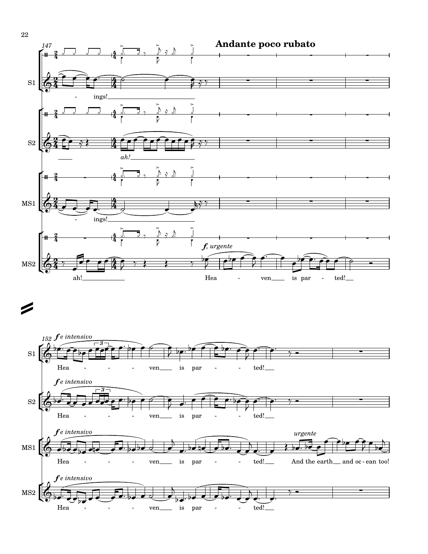![](_page_23_Figure_0.jpeg)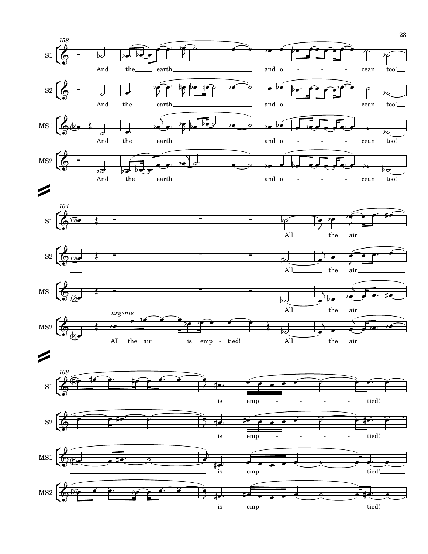![](_page_24_Figure_0.jpeg)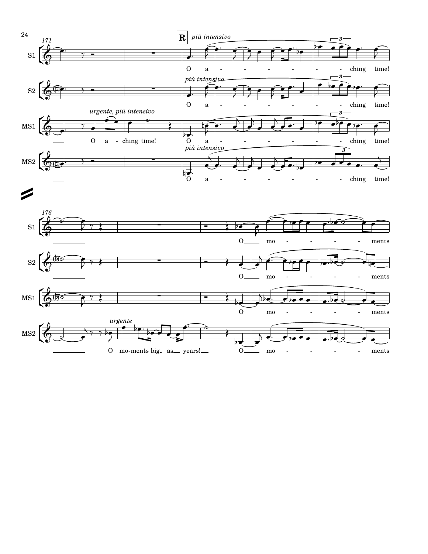![](_page_25_Figure_0.jpeg)

![](_page_25_Figure_1.jpeg)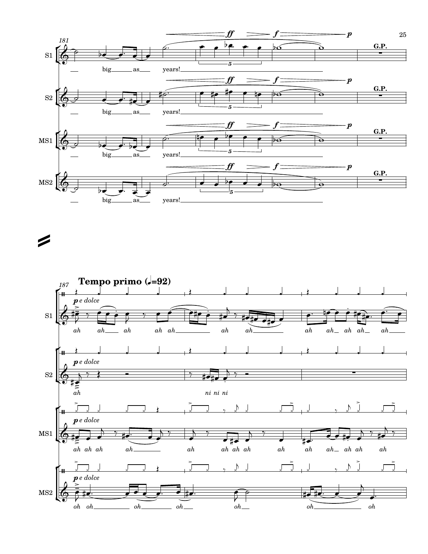![](_page_26_Figure_0.jpeg)

 $\boldsymbol{z}$ 

![](_page_26_Figure_2.jpeg)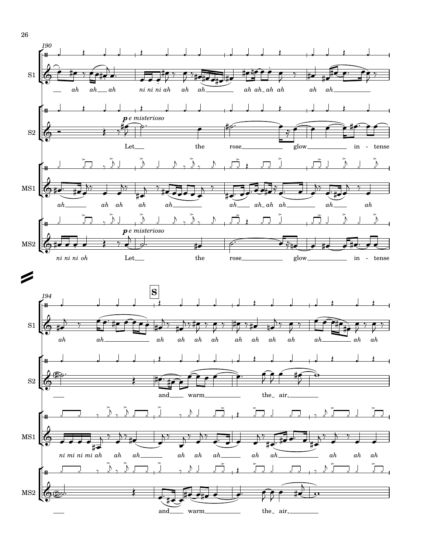![](_page_27_Figure_0.jpeg)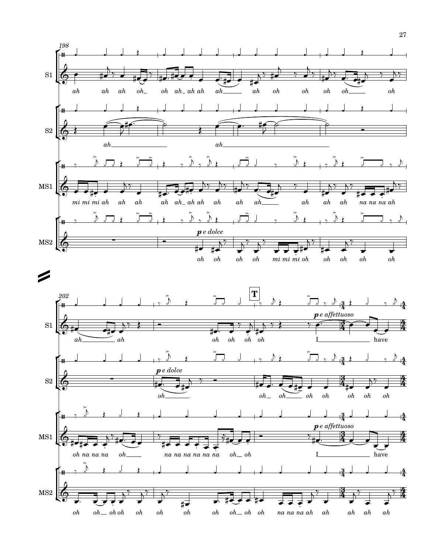![](_page_28_Figure_0.jpeg)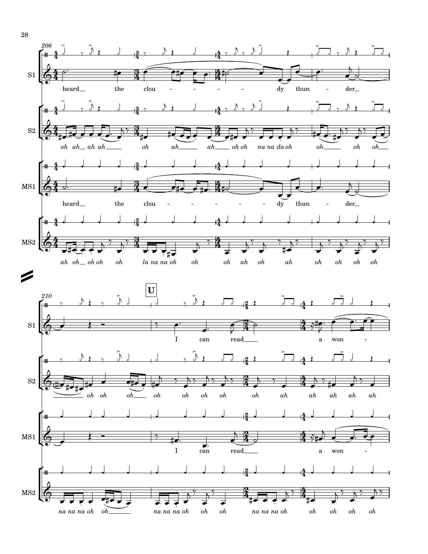![](_page_29_Figure_0.jpeg)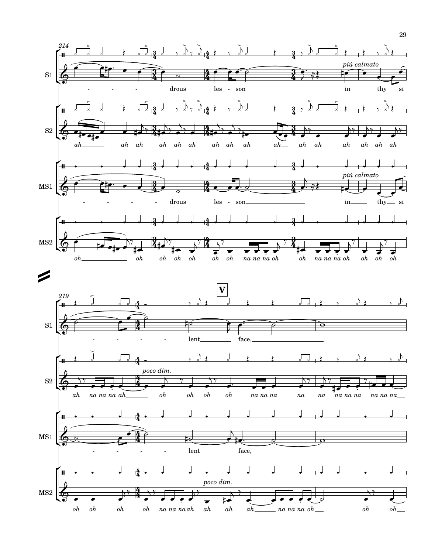![](_page_30_Figure_0.jpeg)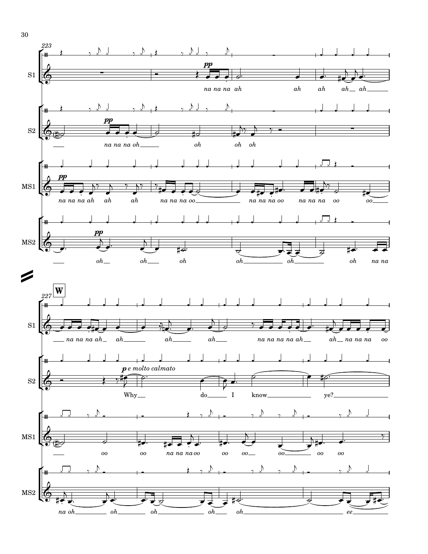![](_page_31_Figure_0.jpeg)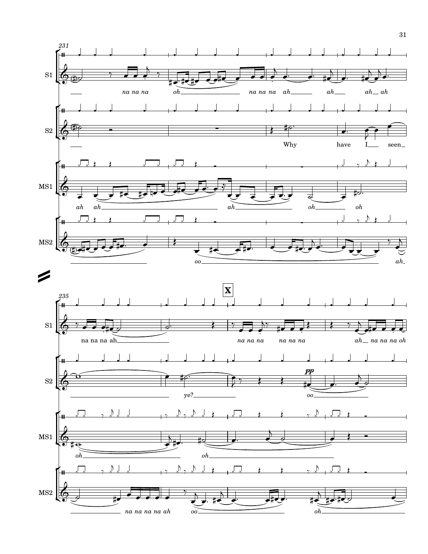![](_page_32_Figure_0.jpeg)

![](_page_32_Figure_1.jpeg)